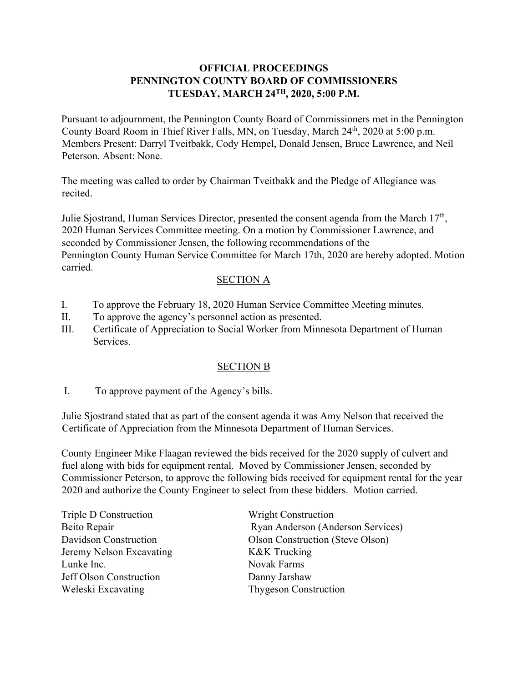### **OFFICIAL PROCEEDINGS PENNINGTON COUNTY BOARD OF COMMISSIONERS TUESDAY, MARCH 24TH, 2020, 5:00 P.M.**

Pursuant to adjournment, the Pennington County Board of Commissioners met in the Pennington County Board Room in Thief River Falls, MN, on Tuesday, March 24th, 2020 at 5:00 p.m. Members Present: Darryl Tveitbakk, Cody Hempel, Donald Jensen, Bruce Lawrence, and Neil Peterson. Absent: None.

The meeting was called to order by Chairman Tveitbakk and the Pledge of Allegiance was recited.

Julie Sjostrand, Human Services Director, presented the consent agenda from the March  $17<sup>th</sup>$ , 2020 Human Services Committee meeting. On a motion by Commissioner Lawrence, and seconded by Commissioner Jensen, the following recommendations of the Pennington County Human Service Committee for March 17th, 2020 are hereby adopted. Motion carried.

### SECTION A

- I. To approve the February 18, 2020 Human Service Committee Meeting minutes.
- II. To approve the agency's personnel action as presented.
- III. Certificate of Appreciation to Social Worker from Minnesota Department of Human Services.

#### SECTION B

I. To approve payment of the Agency's bills.

Julie Sjostrand stated that as part of the consent agenda it was Amy Nelson that received the Certificate of Appreciation from the Minnesota Department of Human Services.

County Engineer Mike Flaagan reviewed the bids received for the 2020 supply of culvert and fuel along with bids for equipment rental. Moved by Commissioner Jensen, seconded by Commissioner Peterson, to approve the following bids received for equipment rental for the year 2020 and authorize the County Engineer to select from these bidders. Motion carried.

| Triple D Construction    | <b>Wright Construction</b>        |
|--------------------------|-----------------------------------|
| Beito Repair             | Ryan Anderson (Anderson Services) |
| Davidson Construction    | Olson Construction (Steve Olson)  |
| Jeremy Nelson Excavating | K&K Trucking                      |
| Lunke Inc.               | Novak Farms                       |
| Jeff Olson Construction  | Danny Jarshaw                     |
| Weleski Excavating       | <b>Thygeson Construction</b>      |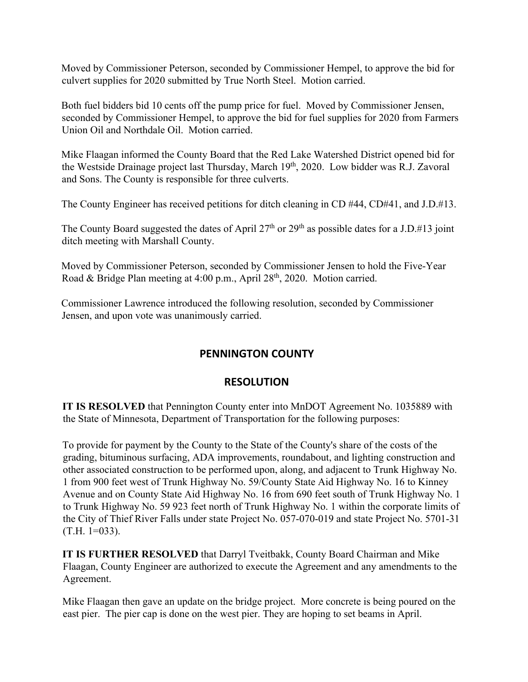Moved by Commissioner Peterson, seconded by Commissioner Hempel, to approve the bid for culvert supplies for 2020 submitted by True North Steel. Motion carried.

Both fuel bidders bid 10 cents off the pump price for fuel. Moved by Commissioner Jensen, seconded by Commissioner Hempel, to approve the bid for fuel supplies for 2020 from Farmers Union Oil and Northdale Oil. Motion carried.

Mike Flaagan informed the County Board that the Red Lake Watershed District opened bid for the Westside Drainage project last Thursday, March 19th, 2020. Low bidder was R.J. Zavoral and Sons. The County is responsible for three culverts.

The County Engineer has received petitions for ditch cleaning in CD #44, CD#41, and J.D.#13.

The County Board suggested the dates of April 27<sup>th</sup> or 29<sup>th</sup> as possible dates for a J.D.#13 joint ditch meeting with Marshall County.

Moved by Commissioner Peterson, seconded by Commissioner Jensen to hold the Five-Year Road & Bridge Plan meeting at 4:00 p.m., April 28<sup>th</sup>, 2020. Motion carried.

Commissioner Lawrence introduced the following resolution, seconded by Commissioner Jensen, and upon vote was unanimously carried.

# **PENNINGTON COUNTY**

## **RESOLUTION**

**IT IS RESOLVED** that Pennington County enter into MnDOT Agreement No. 1035889 with the State of Minnesota, Department of Transportation for the following purposes:

To provide for payment by the County to the State of the County's share of the costs of the grading, bituminous surfacing, ADA improvements, roundabout, and lighting construction and other associated construction to be performed upon, along, and adjacent to Trunk Highway No. 1 from 900 feet west of Trunk Highway No. 59/County State Aid Highway No. 16 to Kinney Avenue and on County State Aid Highway No. 16 from 690 feet south of Trunk Highway No. 1 to Trunk Highway No. 59 923 feet north of Trunk Highway No. 1 within the corporate limits of the City of Thief River Falls under state Project No. 057-070-019 and state Project No. 5701-31  $(T.H. 1=033)$ .

**IT IS FURTHER RESOLVED** that Darryl Tveitbakk, County Board Chairman and Mike Flaagan, County Engineer are authorized to execute the Agreement and any amendments to the Agreement.

Mike Flaagan then gave an update on the bridge project. More concrete is being poured on the east pier. The pier cap is done on the west pier. They are hoping to set beams in April.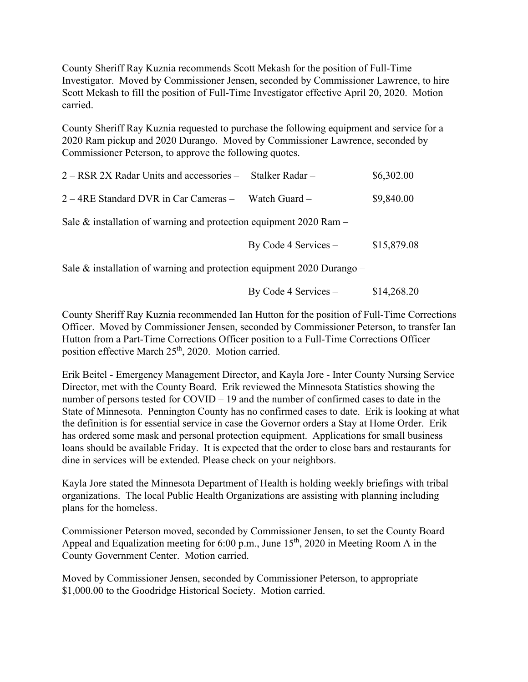County Sheriff Ray Kuznia recommends Scott Mekash for the position of Full-Time Investigator. Moved by Commissioner Jensen, seconded by Commissioner Lawrence, to hire Scott Mekash to fill the position of Full-Time Investigator effective April 20, 2020. Motion carried.

County Sheriff Ray Kuznia requested to purchase the following equipment and service for a 2020 Ram pickup and 2020 Durango. Moved by Commissioner Lawrence, seconded by Commissioner Peterson, to approve the following quotes.

| 2 – RSR 2X Radar Units and accessories – Stalker Radar –              |  | \$6,302.00 |
|-----------------------------------------------------------------------|--|------------|
| $2 - 4RE$ Standard DVR in Car Cameras – Watch Guard –                 |  | \$9,840.00 |
| Sale $\&$ installation of warning and protection equipment 2020 Ram – |  |            |

By Code 4 Services –  $$15,879.08$ 

Sale  $&$  installation of warning and protection equipment 2020 Durango –

By Code 4 Services  $-$  \$14,268.20

County Sheriff Ray Kuznia recommended Ian Hutton for the position of Full-Time Corrections Officer. Moved by Commissioner Jensen, seconded by Commissioner Peterson, to transfer Ian Hutton from a Part-Time Corrections Officer position to a Full-Time Corrections Officer position effective March 25<sup>th</sup>, 2020. Motion carried.

Erik Beitel - Emergency Management Director, and Kayla Jore - Inter County Nursing Service Director, met with the County Board. Erik reviewed the Minnesota Statistics showing the number of persons tested for COVID – 19 and the number of confirmed cases to date in the State of Minnesota. Pennington County has no confirmed cases to date. Erik is looking at what the definition is for essential service in case the Governor orders a Stay at Home Order. Erik has ordered some mask and personal protection equipment. Applications for small business loans should be available Friday. It is expected that the order to close bars and restaurants for dine in services will be extended. Please check on your neighbors.

Kayla Jore stated the Minnesota Department of Health is holding weekly briefings with tribal organizations. The local Public Health Organizations are assisting with planning including plans for the homeless.

Commissioner Peterson moved, seconded by Commissioner Jensen, to set the County Board Appeal and Equalization meeting for 6:00 p.m., June  $15<sup>th</sup>$ , 2020 in Meeting Room A in the County Government Center. Motion carried.

Moved by Commissioner Jensen, seconded by Commissioner Peterson, to appropriate \$1,000.00 to the Goodridge Historical Society. Motion carried.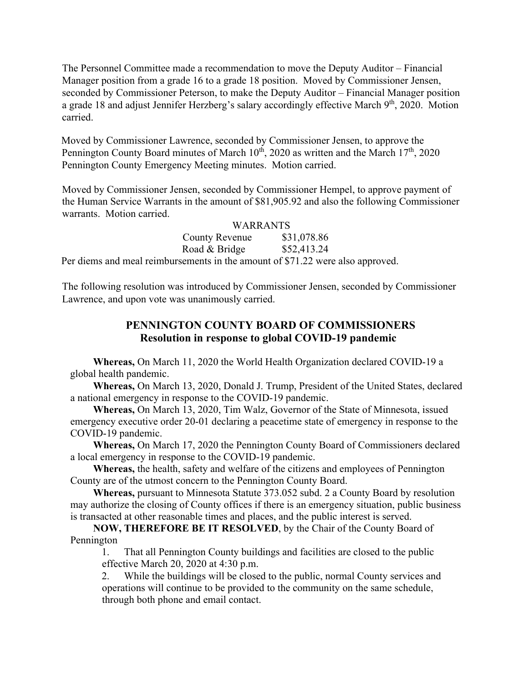The Personnel Committee made a recommendation to move the Deputy Auditor – Financial Manager position from a grade 16 to a grade 18 position. Moved by Commissioner Jensen, seconded by Commissioner Peterson, to make the Deputy Auditor – Financial Manager position a grade 18 and adjust Jennifer Herzberg's salary accordingly effective March  $9<sup>th</sup>$ , 2020. Motion carried.

Moved by Commissioner Lawrence, seconded by Commissioner Jensen, to approve the Pennington County Board minutes of March  $10^{th}$ , 2020 as written and the March  $17^{th}$ , 2020 Pennington County Emergency Meeting minutes. Motion carried.

Moved by Commissioner Jensen, seconded by Commissioner Hempel, to approve payment of the Human Service Warrants in the amount of \$81,905.92 and also the following Commissioner warrants. Motion carried. WARRANTS

|                                                                                | WARRANIS    |  |
|--------------------------------------------------------------------------------|-------------|--|
| County Revenue                                                                 | \$31,078.86 |  |
| Road & Bridge                                                                  | \$52,413.24 |  |
| Per diems and meal reimbursements in the amount of \$71.22 were also approved. |             |  |

The following resolution was introduced by Commissioner Jensen, seconded by Commissioner Lawrence, and upon vote was unanimously carried.

## **PENNINGTON COUNTY BOARD OF COMMISSIONERS Resolution in response to global COVID-19 pandemic**

**Whereas,** On March 11, 2020 the World Health Organization declared COVID-19 a global health pandemic.

**Whereas,** On March 13, 2020, Donald J. Trump, President of the United States, declared a national emergency in response to the COVID-19 pandemic.

**Whereas,** On March 13, 2020, Tim Walz, Governor of the State of Minnesota, issued emergency executive order 20-01 declaring a peacetime state of emergency in response to the COVID-19 pandemic.

**Whereas,** On March 17, 2020 the Pennington County Board of Commissioners declared a local emergency in response to the COVID-19 pandemic.

**Whereas,** the health, safety and welfare of the citizens and employees of Pennington County are of the utmost concern to the Pennington County Board.

**Whereas,** pursuant to Minnesota Statute 373.052 subd. 2 a County Board by resolution may authorize the closing of County offices if there is an emergency situation, public business is transacted at other reasonable times and places, and the public interest is served.

**NOW, THEREFORE BE IT RESOLVED**, by the Chair of the County Board of Pennington

1. That all Pennington County buildings and facilities are closed to the public effective March 20, 2020 at 4:30 p.m.

2. While the buildings will be closed to the public, normal County services and operations will continue to be provided to the community on the same schedule, through both phone and email contact.